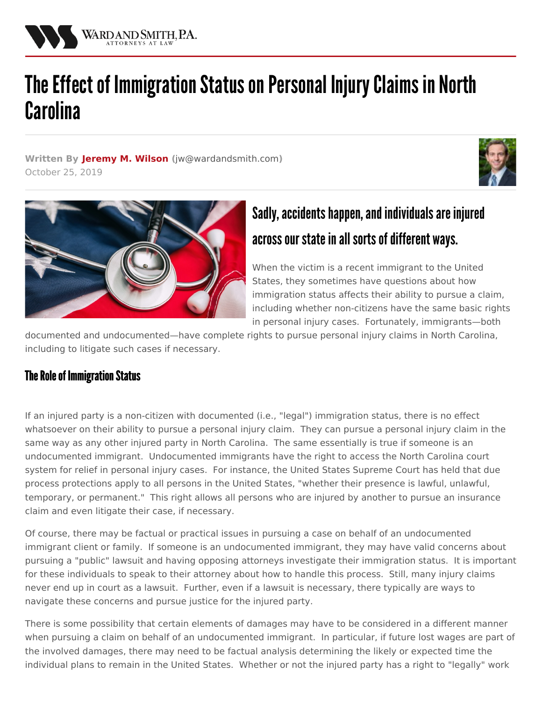

# The Effect of Immigration Status on Personal Injury Claims in North **Carolina**

**Written By [Jeremy](/attorneys/jeremy-wilson) M. Wilson (**[jw@wardandsmith.com](mailto:jw@wardandsmith.com)**)** October 25, 2019





# Sadly, accidents happen, and individuals are injured across our state in all sorts of different ways.

When the victim is a recent immigrant to the United States, they sometimes have questions about how immigration status affects their ability to pursue a claim, including whether non-citizens have the same basic rights in personal injury cases. Fortunately, immigrants—both

documented and undocumented—have complete rights to pursue personal injury claims in North Carolina, including to litigate such cases if necessary.

## **The Role of Immigration Status**

If an injured party is a non-citizen with documented (i.e., "legal") immigration status, there is no effect whatsoever on their ability to pursue a personal injury claim. They can pursue a personal injury claim in the same way as any other injured party in North Carolina. The same essentially is true if someone is an undocumented immigrant. Undocumented immigrants have the right to access the North Carolina court system for relief in personal injury cases. For instance, the United States Supreme Court has held that due process protections apply to all persons in the United States, "whether their presence is lawful, unlawful, temporary, or permanent." This right allows all persons who are injured by another to pursue an insurance claim and even litigate their case, if necessary.

Of course, there may be factual or practical issues in pursuing a case on behalf of an undocumented immigrant client or family. If someone is an undocumented immigrant, they may have valid concerns about pursuing a "public" lawsuit and having opposing attorneys investigate their immigration status. It is important for these individuals to speak to their attorney about how to handle this process. Still, many injury claims never end up in court as a lawsuit. Further, even if a lawsuit is necessary, there typically are ways to navigate these concerns and pursue justice for the injured party.

There is some possibility that certain elements of damages may have to be considered in a different manner when pursuing a claim on behalf of an undocumented immigrant. In particular, if future lost wages are part of the involved damages, there may need to be factual analysis determining the likely or expected time the individual plans to remain in the United States. Whether or not the injured party has a right to "legally" work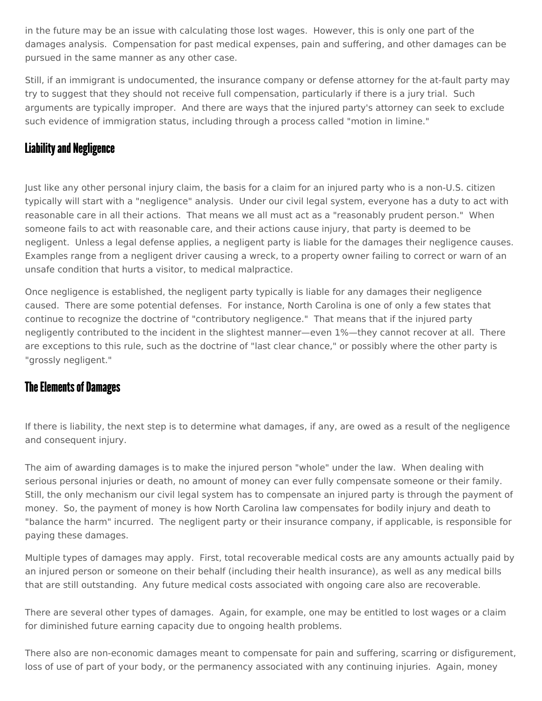in the future may be an issue with calculating those lost wages. However, this is only one part of the damages analysis. Compensation for past medical expenses, pain and suffering, and other damages can be pursued in the same manner as any other case.

Still, if an immigrant is undocumented, the insurance company or defense attorney for the at-fault party may try to suggest that they should not receive full compensation, particularly if there is a jury trial. Such arguments are typically improper. And there are ways that the injured party's attorney can seek to exclude such evidence of immigration status, including through a process called "motion in limine."

### **Liability and Negligence**

Just like any other personal injury claim, the basis for a claim for an injured party who is a non-U.S. citizen typically will start with a "negligence" analysis. Under our civil legal system, everyone has a duty to act with reasonable care in all their actions. That means we all must act as a "reasonably prudent person." When someone fails to act with reasonable care, and their actions cause injury, that party is deemed to be negligent. Unless a legal defense applies, a negligent party is liable for the damages their negligence causes. Examples range from a negligent driver causing a wreck, to a property owner failing to correct or warn of an unsafe condition that hurts a visitor, to medical malpractice.

Once negligence is established, the negligent party typically is liable for any damages their negligence caused. There are some potential defenses. For instance, North Carolina is one of only a few states that continue to recognize the doctrine of "contributory negligence." That means that if the injured party negligently contributed to the incident in the slightest manner—even 1%—they cannot recover at all. There are exceptions to this rule, such as the doctrine of "last clear chance," or possibly where the other party is "grossly negligent."

#### **The Elements of Damages**

If there is liability, the next step is to determine what damages, if any, are owed as a result of the negligence and consequent injury.

The aim of awarding damages is to make the injured person "whole" under the law. When dealing with serious personal injuries or death, no amount of money can ever fully compensate someone or their family. Still, the only mechanism our civil legal system has to compensate an injured party is through the payment of money. So, the payment of money is how North Carolina law compensates for bodily injury and death to "balance the harm" incurred. The negligent party or their insurance company, if applicable, is responsible for paying these damages.

Multiple types of damages may apply. First, total recoverable medical costs are any amounts actually paid by an injured person or someone on their behalf (including their health insurance), as well as any medical bills that are still outstanding. Any future medical costs associated with ongoing care also are recoverable.

There are several other types of damages. Again, for example, one may be entitled to lost wages or a claim for diminished future earning capacity due to ongoing health problems.

There also are non-economic damages meant to compensate for pain and suffering, scarring or disfigurement, loss of use of part of your body, or the permanency associated with any continuing injuries. Again, money